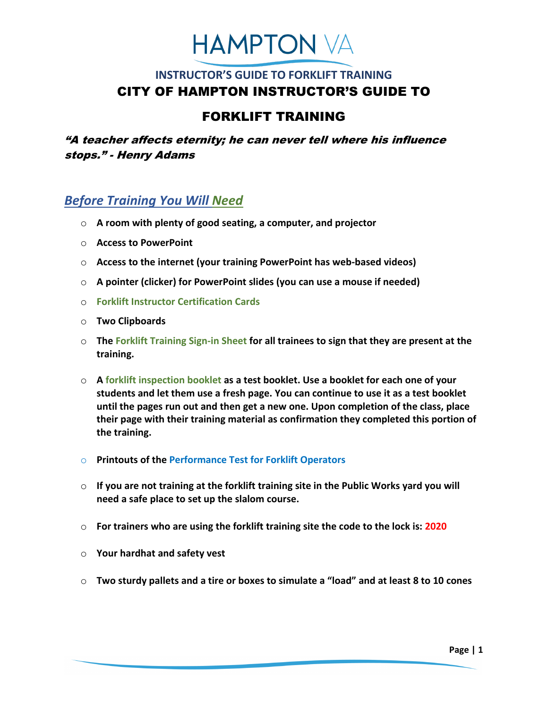# **HAMPTON VA**

## **INSTRUCTOR'S GUIDE TO FORKLIFT TRAINING**  CITY OF HAMPTON INSTRUCTOR'S GUIDE TO

## FORKLIFT TRAINING

"A teacher affects eternity; he can never tell where his influence stops." - Henry Adams

## *Before Training You Will Need*

- o **A room with plenty of good seating, a computer, and projector**
- o **Access to PowerPoint**
- o **Access to the internet (your training PowerPoint has web-based videos)**
- o **A pointer (clicker) for PowerPoint slides (you can use a mouse if needed)**
- o **Forklift Instructor Certification Cards**
- o **Two Clipboards**
- o **The Forklift Training Sign-in Sheet for all trainees to sign that they are present at the training.**
- o **A forklift inspection booklet as a test booklet. Use a booklet for each one of your students and let them use a fresh page. You can continue to use it as a test booklet until the pages run out and then get a new one. Upon completion of the class, place their page with their training material as confirmation they completed this portion of the training.**
- o **Printouts of the Performance Test for Forklift Operators**
- o **If you are not training at the forklift training site in the Public Works yard you will need a safe place to set up the slalom course.**
- o **For trainers who are using the forklift training site the code to the lock is: 2020**
- o **Your hardhat and safety vest**
- o **Two sturdy pallets and a tire or boxes to simulate a "load" and at least 8 to 10 cones**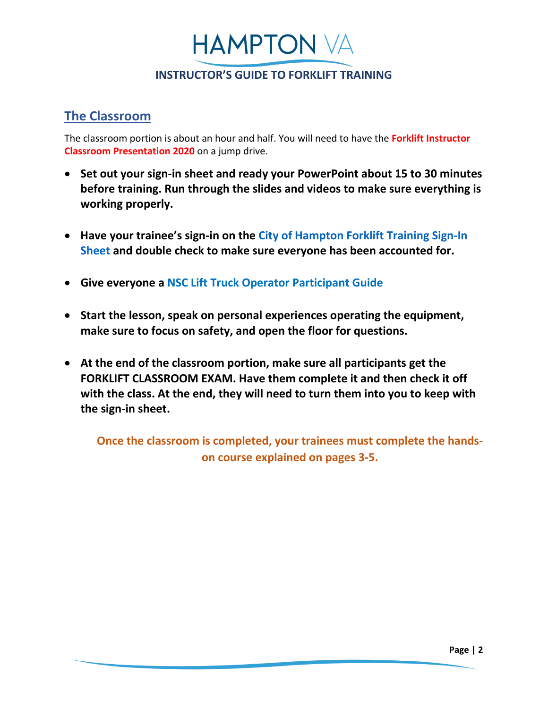**HAMPTON VA** 

#### **The Classroom**

The classroom portion is about an hour and half. You will need to have the **Forklift Instructor Classroom Presentation 2020** on a jump drive.

- **Set out your sign-in sheet and ready your PowerPoint about 15 to 30 minutes before training. Run through the slides and videos to make sure everything is working properly.**
- **Have your trainee's sign-in on the [City of Hampton Forklift Training Sign-In](file://cityfiles03.city.hampton.local/rmpublic/FORKLIFTS%20(revised%2006-2018)/Instructor)  [Sheet](file://cityfiles03.city.hampton.local/rmpublic/FORKLIFTS%20(revised%2006-2018)/Instructor) and double check to make sure everyone has been accounted for.**
- **Give everyone a NSC Lift Truck Operator Participant Guide**
- **Start the lesson, speak on personal experiences operating the equipment, make sure to focus on safety, and open the floor for questions.**
- **At the end of the classroom portion, make sure all participants get the FORKLIFT CLASSROOM EXAM. Have them complete it and then check it off with the class. At the end, they will need to turn them into you to keep with the sign-in sheet.**

**Once the classroom is completed, your trainees must complete the handson course explained on pages 3-5.**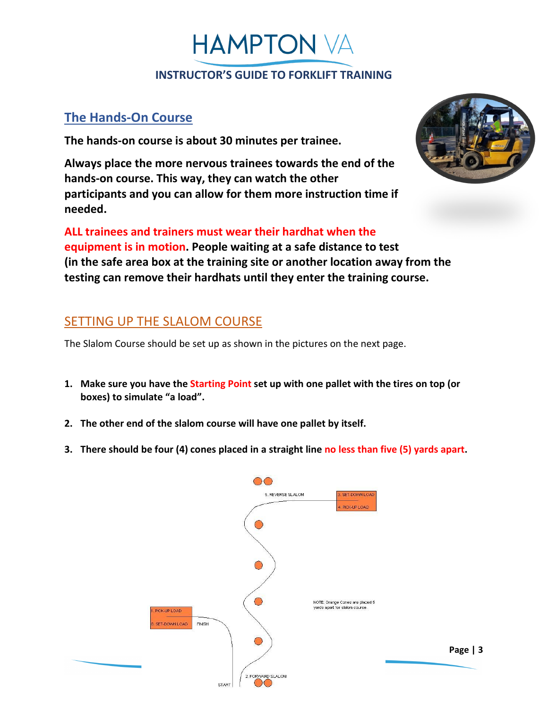**HAMPTON VA** 

#### **The Hands-On Course**

**The hands-on course is about 30 minutes per trainee.**

**Always place the more nervous trainees towards the end of the hands-on course. This way, they can watch the other participants and you can allow for them more instruction time if needed.** 



**ALL trainees and trainers must wear their hardhat when the equipment is in motion. People waiting at a safe distance to test (in the safe area box at the training site or another location away from the testing can remove their hardhats until they enter the training course.** 

## SETTING UP THE SLALOM COURSE

The Slalom Course should be set up as shown in the pictures on the next page.

- **1. Make sure you have the Starting Point set up with one pallet with the tires on top (or boxes) to simulate "a load".**
- **2. The other end of the slalom course will have one pallet by itself.**
- **3. There should be four (4) cones placed in a straight line no less than five (5) yards apart.**

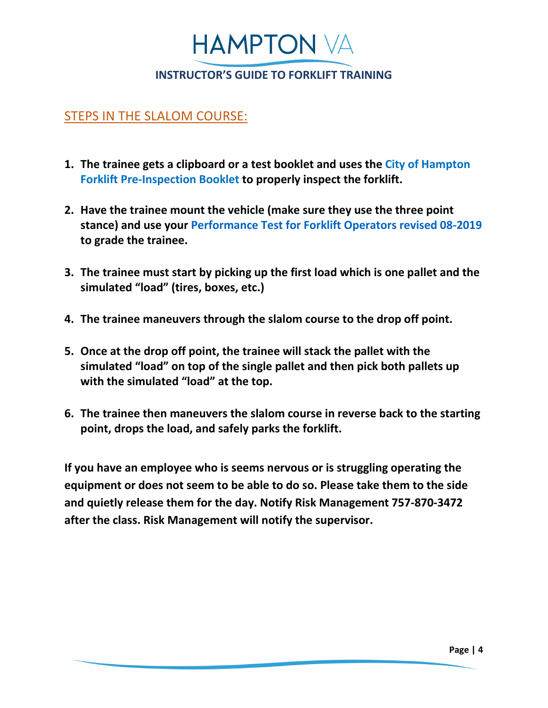

#### STEPS IN THE SLALOM COURSE:

- **1. The trainee gets a clipboard or a test booklet and uses the City of Hampton Forklift Pre-Inspection Booklet to properly inspect the forklift.**
- **2. Have the trainee mount the vehicle (make sure they use the three point stance) and use your [Performance Test for Forklift Operators revised 08-2019](file://cityfiles03.city.hampton.local/rmpublic/FORKLIFTS%20(revised%2006-2018)/Instructor) to grade the trainee.**
- **3. The trainee must start by picking up the first load which is one pallet and the simulated "load" (tires, boxes, etc.)**
- **4. The trainee maneuvers through the slalom course to the drop off point.**
- **5. Once at the drop off point, the trainee will stack the pallet with the simulated "load" on top of the single pallet and then pick both pallets up with the simulated "load" at the top.**
- **6. The trainee then maneuvers the slalom course in reverse back to the starting point, drops the load, and safely parks the forklift.**

**If you have an employee who is seems nervous or is struggling operating the equipment or does not seem to be able to do so. Please take them to the side and quietly release them for the day. Notify Risk Management 757-870-3472 after the class. Risk Management will notify the supervisor.**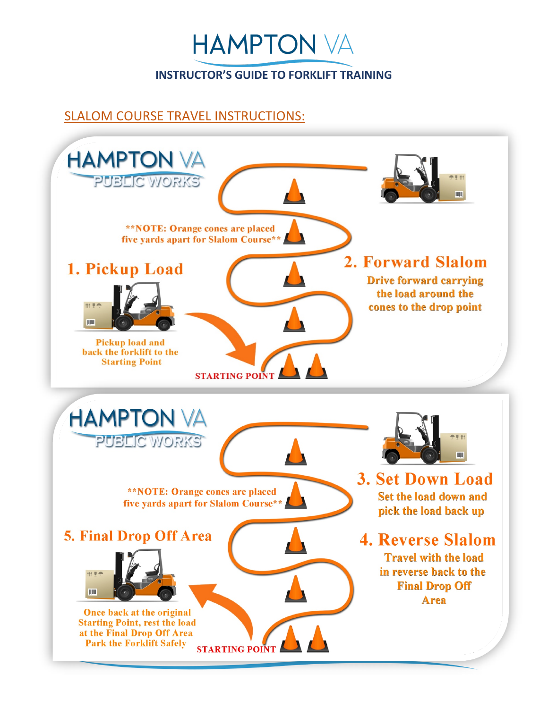

## SLALOM COURSE TRAVEL INSTRUCTIONS: